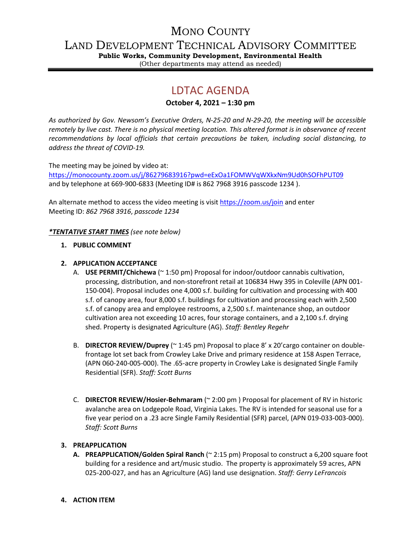# MONO COUNTY

LAND DEVELOPMENT TECHNICAL ADVISORY COMMITTEE

**Public Works, Community Development, Environmental Health** (Other departments may attend as needed)

# LDTAC AGENDA

**October 4, 2021 – 1:30 pm**

*As authorized by Gov. Newsom's Executive Orders, N-25-20 and N-29-20, the meeting will be accessible remotely by live cast. There is no physical meeting location. This altered format is in observance of recent recommendations by local officials that certain precautions be taken, including social distancing, to address the threat of COVID-19.*

The meeting may be joined by video at:

<https://monocounty.zoom.us/j/86279683916?pwd=eExOa1FOMWVqWXkxNm9Ud0hSOFhPUT09> and by telephone at 669-900-6833 (Meeting ID# is 862 7968 3916 passcode 1234 ).

An alternate method to access the video meeting is visit <https://zoom.us/join> and enter Meeting ID: *862 7968 3916*, *passcode 1234*

*\*TENTATIVE START TIMES (see note below)*

**1. PUBLIC COMMENT**

### **2. APPLICATION ACCEPTANCE**

- A. **USE PERMIT/Chichewa** (~ 1:50 pm) Proposal for indoor/outdoor cannabis cultivation, processing, distribution, and non-storefront retail at 106834 Hwy 395 in Coleville (APN 001- 150-004). Proposal includes one 4,000 s.f. building for cultivation and processing with 400 s.f. of canopy area, four 8,000 s.f. buildings for cultivation and processing each with 2,500 s.f. of canopy area and employee restrooms, a 2,500 s.f. maintenance shop, an outdoor cultivation area not exceeding 10 acres, four storage containers, and a 2,100 s.f. drying shed. Property is designated Agriculture (AG). *Staff: Bentley Regehr*
- B. **DIRECTOR REVIEW/Duprey** (~ 1:45 pm) Proposal to place 8' x 20'cargo container on doublefrontage lot set back from Crowley Lake Drive and primary residence at 158 Aspen Terrace, (APN 060-240-005-000). The .65-acre property in Crowley Lake is designated Single Family Residential (SFR). *Staff: Scott Burns*
- C. **DIRECTOR REVIEW/Hosier-Behmaram** (~ 2:00 pm ) Proposal for placement of RV in historic avalanche area on Lodgepole Road, Virginia Lakes. The RV is intended for seasonal use for a five year period on a .23 acre Single Family Residential (SFR) parcel, (APN 019-033-003-000). *Staff: Scott Burns*

## **3. PREAPPLICATION**

**A. PREAPPLICATION/Golden Spiral Ranch** (~ 2:15 pm) Proposal to construct a 6,200 square foot building for a residence and art/music studio. The property is approximately 59 acres, APN 025-200-027, and has an Agriculture (AG) land use designation. *Staff: Gerry LeFrancois*